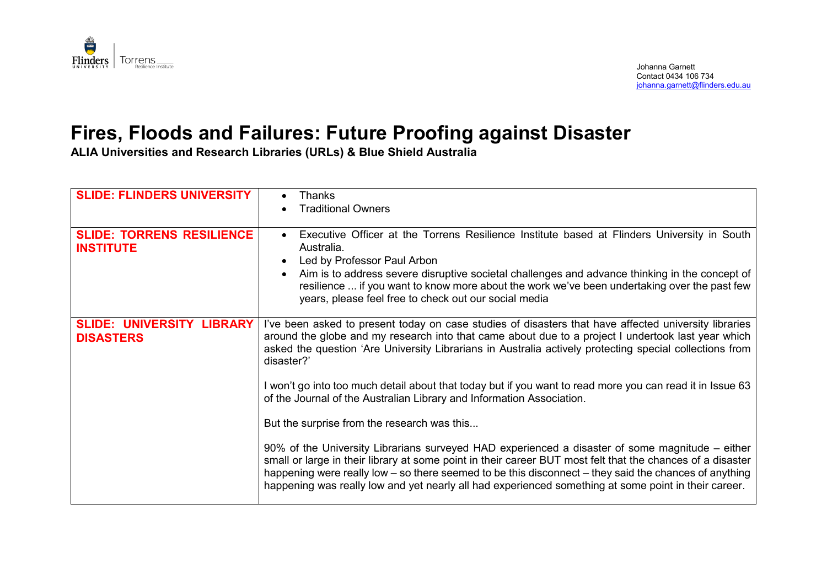

## **Fires, Floods and Failures: Future Proofing against Disaster**

**ALIA Universities and Research Libraries (URLs) & Blue Shield Australia**

| <b>SLIDE: FLINDERS UNIVERSITY</b>                    | <b>Thanks</b><br><b>Traditional Owners</b>                                                                                                                                                                                                                                                                                                                                                                                                                                                                                 |  |
|------------------------------------------------------|----------------------------------------------------------------------------------------------------------------------------------------------------------------------------------------------------------------------------------------------------------------------------------------------------------------------------------------------------------------------------------------------------------------------------------------------------------------------------------------------------------------------------|--|
| <b>SLIDE: TORRENS RESILIENCE</b><br><b>INSTITUTE</b> | Executive Officer at the Torrens Resilience Institute based at Flinders University in South<br>$\bullet$<br>Australia.<br>Led by Professor Paul Arbon<br>Aim is to address severe disruptive societal challenges and advance thinking in the concept of<br>resilience  if you want to know more about the work we've been undertaking over the past few<br>years, please feel free to check out our social media                                                                                                           |  |
| <b>SLIDE: UNIVERSITY LIBRARY</b><br><b>DISASTERS</b> | I've been asked to present today on case studies of disasters that have affected university libraries<br>around the globe and my research into that came about due to a project I undertook last year which<br>asked the question 'Are University Librarians in Australia actively protecting special collections from<br>disaster?'<br>I won't go into too much detail about that today but if you want to read more you can read it in Issue 63<br>of the Journal of the Australian Library and Information Association. |  |
|                                                      | But the surprise from the research was this<br>90% of the University Librarians surveyed HAD experienced a disaster of some magnitude - either<br>small or large in their library at some point in their career BUT most felt that the chances of a disaster<br>happening were really low – so there seemed to be this disconnect – they said the chances of anything<br>happening was really low and yet nearly all had experienced something at some point in their career.                                              |  |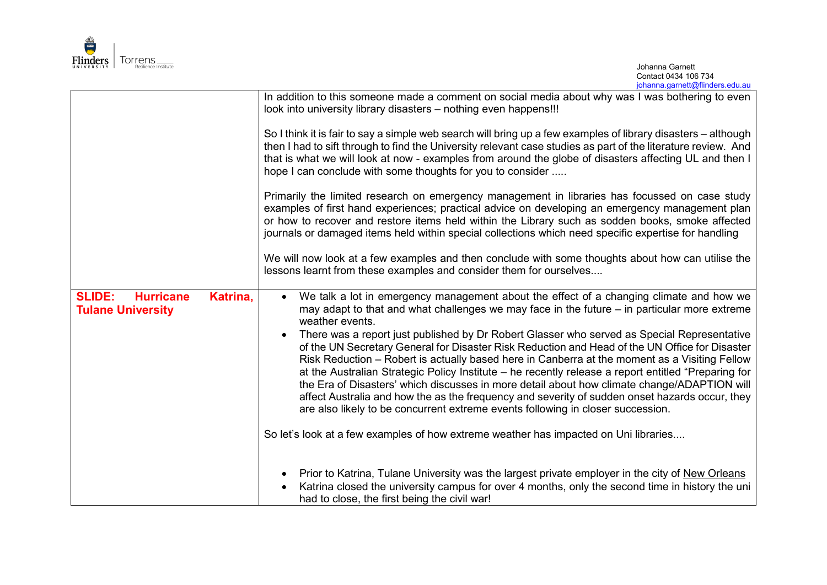

|                                                                           | In addition to this someone made a comment on social media about why was I was bothering to even<br>look into university library disasters - nothing even happens!!!                                                                                                                                                                                                                                                                                                                                                                                                                                                                                                                      |
|---------------------------------------------------------------------------|-------------------------------------------------------------------------------------------------------------------------------------------------------------------------------------------------------------------------------------------------------------------------------------------------------------------------------------------------------------------------------------------------------------------------------------------------------------------------------------------------------------------------------------------------------------------------------------------------------------------------------------------------------------------------------------------|
|                                                                           | So I think it is fair to say a simple web search will bring up a few examples of library disasters - although<br>then I had to sift through to find the University relevant case studies as part of the literature review. And<br>that is what we will look at now - examples from around the globe of disasters affecting UL and then I<br>hope I can conclude with some thoughts for you to consider                                                                                                                                                                                                                                                                                    |
|                                                                           | Primarily the limited research on emergency management in libraries has focussed on case study<br>examples of first hand experiences; practical advice on developing an emergency management plan<br>or how to recover and restore items held within the Library such as sodden books, smoke affected<br>journals or damaged items held within special collections which need specific expertise for handling                                                                                                                                                                                                                                                                             |
|                                                                           | We will now look at a few examples and then conclude with some thoughts about how can utilise the<br>lessons learnt from these examples and consider them for ourselves                                                                                                                                                                                                                                                                                                                                                                                                                                                                                                                   |
| <b>SLIDE:</b><br><b>Hurricane</b><br>Katrina,<br><b>Tulane University</b> | We talk a lot in emergency management about the effect of a changing climate and how we<br>may adapt to that and what challenges we may face in the future $-$ in particular more extreme<br>weather events.                                                                                                                                                                                                                                                                                                                                                                                                                                                                              |
|                                                                           | There was a report just published by Dr Robert Glasser who served as Special Representative<br>of the UN Secretary General for Disaster Risk Reduction and Head of the UN Office for Disaster<br>Risk Reduction – Robert is actually based here in Canberra at the moment as a Visiting Fellow<br>at the Australian Strategic Policy Institute – he recently release a report entitled "Preparing for<br>the Era of Disasters' which discusses in more detail about how climate change/ADAPTION will<br>affect Australia and how the as the frequency and severity of sudden onset hazards occur, they<br>are also likely to be concurrent extreme events following in closer succession. |
|                                                                           | So let's look at a few examples of how extreme weather has impacted on Uni libraries                                                                                                                                                                                                                                                                                                                                                                                                                                                                                                                                                                                                      |
|                                                                           | Prior to Katrina, Tulane University was the largest private employer in the city of New Orleans<br>Katrina closed the university campus for over 4 months, only the second time in history the uni<br>had to close, the first being the civil war!                                                                                                                                                                                                                                                                                                                                                                                                                                        |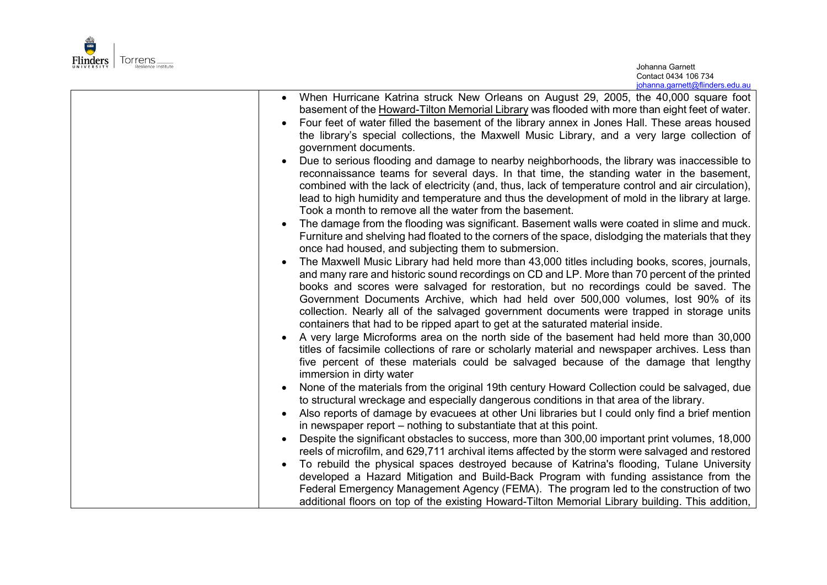

|                                                                                                     | When Hurricane Katrina struck New Orleans on August 29, 2005, the 40,000 square foot |
|-----------------------------------------------------------------------------------------------------|--------------------------------------------------------------------------------------|
| basement of the Howard-Tilton Memorial Library was flooded with more than eight feet of water.      |                                                                                      |
| Four feet of water filled the basement of the library annex in Jones Hall. These areas housed       |                                                                                      |
| the library's special collections, the Maxwell Music Library, and a very large collection of        |                                                                                      |
| government documents.                                                                               |                                                                                      |
| Due to serious flooding and damage to nearby neighborhoods, the library was inaccessible to         |                                                                                      |
| reconnaissance teams for several days. In that time, the standing water in the basement,            |                                                                                      |
| combined with the lack of electricity (and, thus, lack of temperature control and air circulation), |                                                                                      |
| lead to high humidity and temperature and thus the development of mold in the library at large.     |                                                                                      |
| Took a month to remove all the water from the basement.                                             |                                                                                      |
| The damage from the flooding was significant. Basement walls were coated in slime and muck.         |                                                                                      |
| Furniture and shelving had floated to the corners of the space, dislodging the materials that they  |                                                                                      |
| once had housed, and subjecting them to submersion.                                                 |                                                                                      |
| The Maxwell Music Library had held more than 43,000 titles including books, scores, journals,       |                                                                                      |
| and many rare and historic sound recordings on CD and LP. More than 70 percent of the printed       |                                                                                      |
| books and scores were salvaged for restoration, but no recordings could be saved. The               |                                                                                      |
| Government Documents Archive, which had held over 500,000 volumes, lost 90% of its                  |                                                                                      |
| collection. Nearly all of the salvaged government documents were trapped in storage units           |                                                                                      |
| containers that had to be ripped apart to get at the saturated material inside.                     |                                                                                      |
| A very large Microforms area on the north side of the basement had held more than 30,000            |                                                                                      |
| titles of facsimile collections of rare or scholarly material and newspaper archives. Less than     |                                                                                      |
| five percent of these materials could be salvaged because of the damage that lengthy                |                                                                                      |
| immersion in dirty water                                                                            |                                                                                      |
| None of the materials from the original 19th century Howard Collection could be salvaged, due       |                                                                                      |
| to structural wreckage and especially dangerous conditions in that area of the library.             |                                                                                      |
| Also reports of damage by evacuees at other Uni libraries but I could only find a brief mention     |                                                                                      |
| in newspaper report – nothing to substantiate that at this point.                                   |                                                                                      |
| Despite the significant obstacles to success, more than 300,00 important print volumes, 18,000      |                                                                                      |
| reels of microfilm, and 629,711 archival items affected by the storm were salvaged and restored     |                                                                                      |
| To rebuild the physical spaces destroyed because of Katrina's flooding, Tulane University           |                                                                                      |
| developed a Hazard Mitigation and Build-Back Program with funding assistance from the               |                                                                                      |
| Federal Emergency Management Agency (FEMA). The program led to the construction of two              |                                                                                      |
| additional floors on top of the existing Howard-Tilton Memorial Library building. This addition,    |                                                                                      |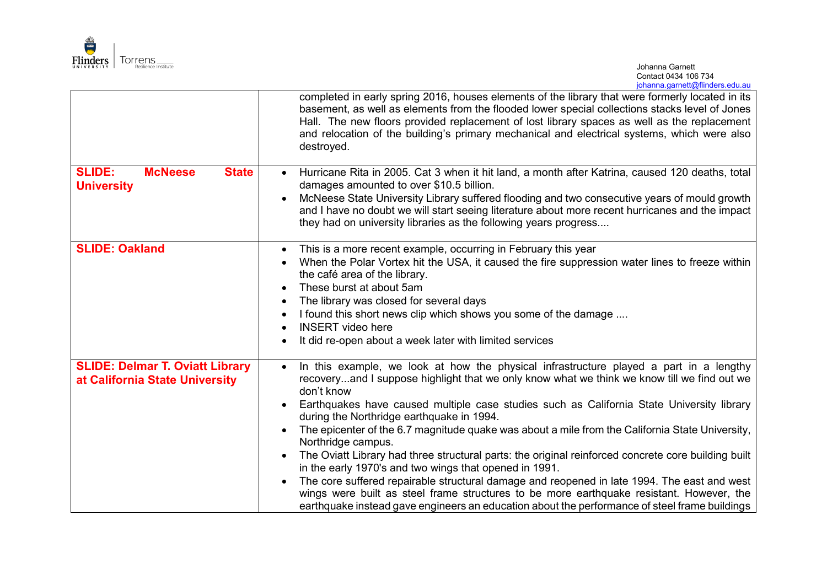

|                                                                          | completed in early spring 2016, houses elements of the library that were formerly located in its<br>basement, as well as elements from the flooded lower special collections stacks level of Jones<br>Hall. The new floors provided replacement of lost library spaces as well as the replacement<br>and relocation of the building's primary mechanical and electrical systems, which were also<br>destroyed.                                                                                                                                                                                                                                                                                                                                                                                                                                                                                                                                                |
|--------------------------------------------------------------------------|---------------------------------------------------------------------------------------------------------------------------------------------------------------------------------------------------------------------------------------------------------------------------------------------------------------------------------------------------------------------------------------------------------------------------------------------------------------------------------------------------------------------------------------------------------------------------------------------------------------------------------------------------------------------------------------------------------------------------------------------------------------------------------------------------------------------------------------------------------------------------------------------------------------------------------------------------------------|
| <b>SLIDE:</b><br><b>McNeese</b><br><b>State</b><br><b>University</b>     | Hurricane Rita in 2005. Cat 3 when it hit land, a month after Katrina, caused 120 deaths, total<br>$\bullet$<br>damages amounted to over \$10.5 billion.<br>McNeese State University Library suffered flooding and two consecutive years of mould growth<br>and I have no doubt we will start seeing literature about more recent hurricanes and the impact<br>they had on university libraries as the following years progress                                                                                                                                                                                                                                                                                                                                                                                                                                                                                                                               |
| <b>SLIDE: Oakland</b>                                                    | This is a more recent example, occurring in February this year<br>$\bullet$<br>When the Polar Vortex hit the USA, it caused the fire suppression water lines to freeze within<br>$\bullet$<br>the café area of the library.<br>These burst at about 5am<br>The library was closed for several days<br>I found this short news clip which shows you some of the damage<br>$\bullet$<br><b>INSERT</b> video here<br>It did re-open about a week later with limited services                                                                                                                                                                                                                                                                                                                                                                                                                                                                                     |
| <b>SLIDE: Delmar T. Oviatt Library</b><br>at California State University | In this example, we look at how the physical infrastructure played a part in a lengthy<br>$\bullet$<br>recoveryand I suppose highlight that we only know what we think we know till we find out we<br>don't know<br>Earthquakes have caused multiple case studies such as California State University library<br>during the Northridge earthquake in 1994.<br>The epicenter of the 6.7 magnitude quake was about a mile from the California State University,<br>Northridge campus.<br>The Oviatt Library had three structural parts: the original reinforced concrete core building built<br>$\bullet$<br>in the early 1970's and two wings that opened in 1991.<br>The core suffered repairable structural damage and reopened in late 1994. The east and west<br>wings were built as steel frame structures to be more earthquake resistant. However, the<br>earthquake instead gave engineers an education about the performance of steel frame buildings |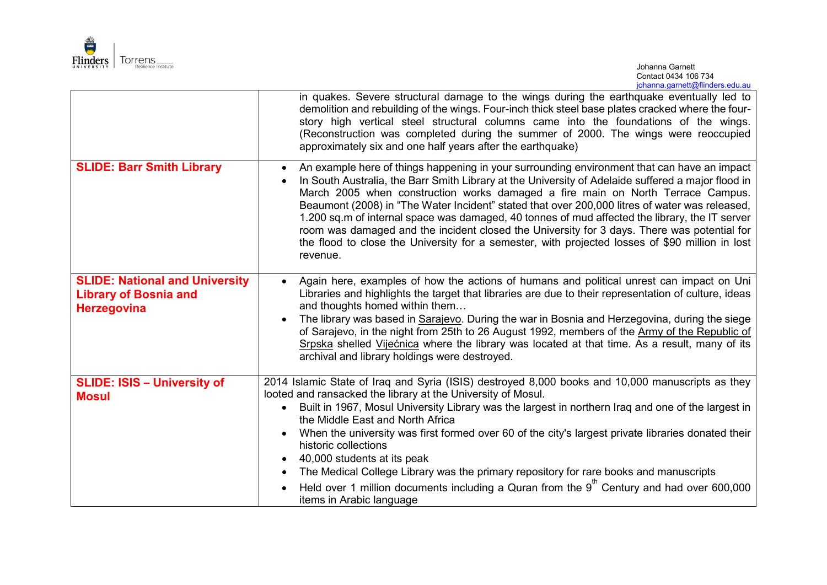

|                                                                                             | in quakes. Severe structural damage to the wings during the earthquake eventually led to<br>demolition and rebuilding of the wings. Four-inch thick steel base plates cracked where the four-<br>story high vertical steel structural columns came into the foundations of the wings.<br>(Reconstruction was completed during the summer of 2000. The wings were reoccupied<br>approximately six and one half years after the earthquake)                                                                                                                                                                                                                                                                                        |
|---------------------------------------------------------------------------------------------|----------------------------------------------------------------------------------------------------------------------------------------------------------------------------------------------------------------------------------------------------------------------------------------------------------------------------------------------------------------------------------------------------------------------------------------------------------------------------------------------------------------------------------------------------------------------------------------------------------------------------------------------------------------------------------------------------------------------------------|
| <b>SLIDE: Barr Smith Library</b>                                                            | An example here of things happening in your surrounding environment that can have an impact<br>$\bullet$<br>In South Australia, the Barr Smith Library at the University of Adelaide suffered a major flood in<br>$\bullet$<br>March 2005 when construction works damaged a fire main on North Terrace Campus.<br>Beaumont (2008) in "The Water Incident" stated that over 200,000 litres of water was released,<br>1.200 sq.m of internal space was damaged, 40 tonnes of mud affected the library, the IT server<br>room was damaged and the incident closed the University for 3 days. There was potential for<br>the flood to close the University for a semester, with projected losses of \$90 million in lost<br>revenue. |
| <b>SLIDE: National and University</b><br><b>Library of Bosnia and</b><br><b>Herzegovina</b> | Again here, examples of how the actions of humans and political unrest can impact on Uni<br>$\bullet$<br>Libraries and highlights the target that libraries are due to their representation of culture, ideas<br>and thoughts homed within them                                                                                                                                                                                                                                                                                                                                                                                                                                                                                  |
|                                                                                             | The library was based in Sarajevo. During the war in Bosnia and Herzegovina, during the siege<br>of Sarajevo, in the night from 25th to 26 August 1992, members of the Army of the Republic of<br>Srpska shelled Vijećnica where the library was located at that time. As a result, many of its<br>archival and library holdings were destroyed.                                                                                                                                                                                                                                                                                                                                                                                 |
| <b>SLIDE: ISIS - University of</b>                                                          | 2014 Islamic State of Iraq and Syria (ISIS) destroyed 8,000 books and 10,000 manuscripts as they                                                                                                                                                                                                                                                                                                                                                                                                                                                                                                                                                                                                                                 |
| <b>Mosul</b>                                                                                | looted and ransacked the library at the University of Mosul.<br>Built in 1967, Mosul University Library was the largest in northern Iraq and one of the largest in                                                                                                                                                                                                                                                                                                                                                                                                                                                                                                                                                               |
|                                                                                             | the Middle East and North Africa<br>When the university was first formed over 60 of the city's largest private libraries donated their<br>$\bullet$                                                                                                                                                                                                                                                                                                                                                                                                                                                                                                                                                                              |
|                                                                                             | historic collections<br>40,000 students at its peak                                                                                                                                                                                                                                                                                                                                                                                                                                                                                                                                                                                                                                                                              |
|                                                                                             | The Medical College Library was the primary repository for rare books and manuscripts<br>$\bullet$                                                                                                                                                                                                                                                                                                                                                                                                                                                                                                                                                                                                                               |
|                                                                                             | Held over 1 million documents including a Quran from the $9th$ Century and had over 600,000<br>items in Arabic language                                                                                                                                                                                                                                                                                                                                                                                                                                                                                                                                                                                                          |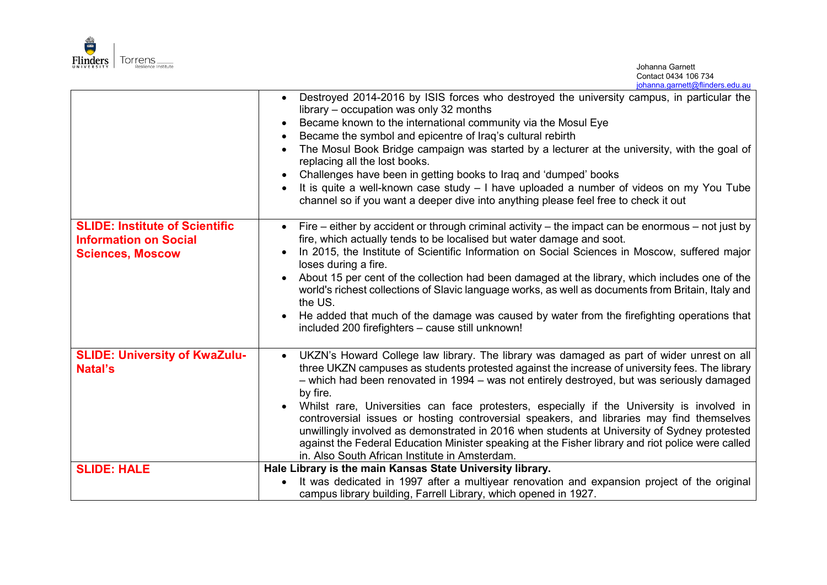

Johanna Garnett Contact 0434 106 734 [johanna.garnett@flinders.edu.au](mailto:johanna.garnett@flinders.edu.au)

|                                                         | • Destroyed 2014-2016 by ISIS forces who destroyed the university campus, in particular the<br>library – occupation was only 32 months<br>Became known to the international community via the Mosul Eye<br>Became the symbol and epicentre of Iraq's cultural rebirth<br>The Mosul Book Bridge campaign was started by a lecturer at the university, with the goal of<br>replacing all the lost books.<br>Challenges have been in getting books to Iraq and 'dumped' books<br>It is quite a well-known case study - I have uploaded a number of videos on my You Tube<br>channel so if you want a deeper dive into anything please feel free to check it out |
|---------------------------------------------------------|--------------------------------------------------------------------------------------------------------------------------------------------------------------------------------------------------------------------------------------------------------------------------------------------------------------------------------------------------------------------------------------------------------------------------------------------------------------------------------------------------------------------------------------------------------------------------------------------------------------------------------------------------------------|
| <b>SLIDE: Institute of Scientific</b>                   | Fire – either by accident or through criminal activity – the impact can be enormous – not just by                                                                                                                                                                                                                                                                                                                                                                                                                                                                                                                                                            |
| <b>Information on Social</b><br><b>Sciences, Moscow</b> | fire, which actually tends to be localised but water damage and soot.<br>In 2015, the Institute of Scientific Information on Social Sciences in Moscow, suffered major                                                                                                                                                                                                                                                                                                                                                                                                                                                                                       |
|                                                         | loses during a fire.                                                                                                                                                                                                                                                                                                                                                                                                                                                                                                                                                                                                                                         |
|                                                         | About 15 per cent of the collection had been damaged at the library, which includes one of the<br>world's richest collections of Slavic language works, as well as documents from Britain, Italy and<br>the US.                                                                                                                                                                                                                                                                                                                                                                                                                                              |
|                                                         | He added that much of the damage was caused by water from the firefighting operations that<br>included 200 firefighters - cause still unknown!                                                                                                                                                                                                                                                                                                                                                                                                                                                                                                               |
| <b>SLIDE: University of KwaZulu-</b>                    | UKZN's Howard College law library. The library was damaged as part of wider unrest on all                                                                                                                                                                                                                                                                                                                                                                                                                                                                                                                                                                    |
| Natal's                                                 | three UKZN campuses as students protested against the increase of university fees. The library<br>- which had been renovated in 1994 - was not entirely destroyed, but was seriously damaged                                                                                                                                                                                                                                                                                                                                                                                                                                                                 |
|                                                         | by fire.                                                                                                                                                                                                                                                                                                                                                                                                                                                                                                                                                                                                                                                     |
|                                                         | Whilst rare, Universities can face protesters, especially if the University is involved in<br>controversial issues or hosting controversial speakers, and libraries may find themselves                                                                                                                                                                                                                                                                                                                                                                                                                                                                      |
|                                                         | unwillingly involved as demonstrated in 2016 when students at University of Sydney protested                                                                                                                                                                                                                                                                                                                                                                                                                                                                                                                                                                 |
|                                                         | against the Federal Education Minister speaking at the Fisher library and riot police were called<br>in. Also South African Institute in Amsterdam.                                                                                                                                                                                                                                                                                                                                                                                                                                                                                                          |
| <b>SLIDE: HALE</b>                                      | Hale Library is the main Kansas State University library.                                                                                                                                                                                                                                                                                                                                                                                                                                                                                                                                                                                                    |
|                                                         | It was dedicated in 1997 after a multiyear renovation and expansion project of the original                                                                                                                                                                                                                                                                                                                                                                                                                                                                                                                                                                  |
|                                                         | campus library building, Farrell Library, which opened in 1927.                                                                                                                                                                                                                                                                                                                                                                                                                                                                                                                                                                                              |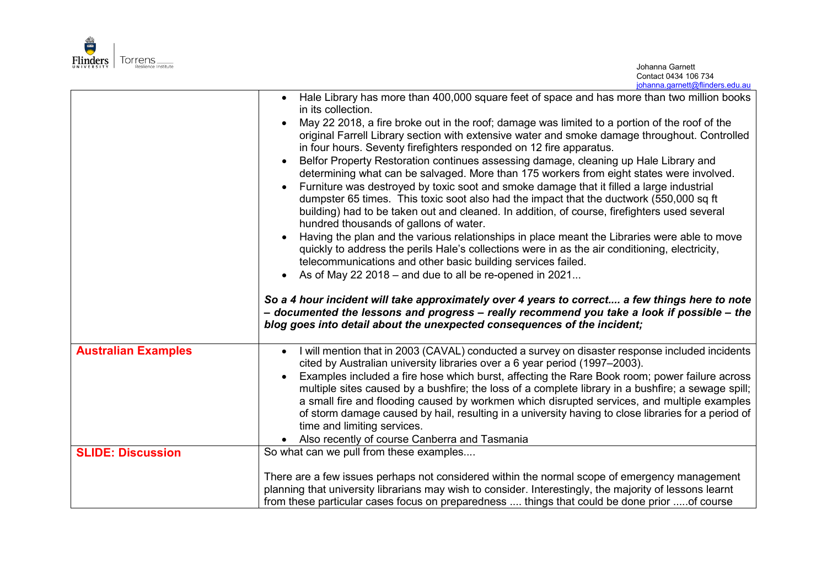

|                            | Hale Library has more than 400,000 square feet of space and has more than two million books                                                                                                                                                                                                                                                                                                                                                                                                                                                                                                                                                                                                                                                                                                                      |
|----------------------------|------------------------------------------------------------------------------------------------------------------------------------------------------------------------------------------------------------------------------------------------------------------------------------------------------------------------------------------------------------------------------------------------------------------------------------------------------------------------------------------------------------------------------------------------------------------------------------------------------------------------------------------------------------------------------------------------------------------------------------------------------------------------------------------------------------------|
|                            | in its collection.<br>May 22 2018, a fire broke out in the roof; damage was limited to a portion of the roof of the<br>original Farrell Library section with extensive water and smoke damage throughout. Controlled<br>in four hours. Seventy firefighters responded on 12 fire apparatus.<br>Belfor Property Restoration continues assessing damage, cleaning up Hale Library and<br>determining what can be salvaged. More than 175 workers from eight states were involved.<br>Furniture was destroyed by toxic soot and smoke damage that it filled a large industrial<br>dumpster 65 times. This toxic soot also had the impact that the ductwork (550,000 sq ft<br>building) had to be taken out and cleaned. In addition, of course, firefighters used several<br>hundred thousands of gallons of water. |
|                            | Having the plan and the various relationships in place meant the Libraries were able to move<br>quickly to address the perils Hale's collections were in as the air conditioning, electricity,<br>telecommunications and other basic building services failed.                                                                                                                                                                                                                                                                                                                                                                                                                                                                                                                                                   |
|                            | As of May 22 2018 – and due to all be re-opened in 2021                                                                                                                                                                                                                                                                                                                                                                                                                                                                                                                                                                                                                                                                                                                                                          |
|                            | So a 4 hour incident will take approximately over 4 years to correct a few things here to note<br>- documented the lessons and progress - really recommend you take a look if possible - the<br>blog goes into detail about the unexpected consequences of the incident;                                                                                                                                                                                                                                                                                                                                                                                                                                                                                                                                         |
| <b>Australian Examples</b> | I will mention that in 2003 (CAVAL) conducted a survey on disaster response included incidents<br>cited by Australian university libraries over a 6 year period (1997-2003).<br>Examples included a fire hose which burst, affecting the Rare Book room; power failure across<br>multiple sites caused by a bushfire; the loss of a complete library in a bushfire; a sewage spill;<br>a small fire and flooding caused by workmen which disrupted services, and multiple examples<br>of storm damage caused by hail, resulting in a university having to close libraries for a period of<br>time and limiting services.<br>Also recently of course Canberra and Tasmania                                                                                                                                        |
| <b>SLIDE: Discussion</b>   | So what can we pull from these examples                                                                                                                                                                                                                                                                                                                                                                                                                                                                                                                                                                                                                                                                                                                                                                          |
|                            | There are a few issues perhaps not considered within the normal scope of emergency management<br>planning that university librarians may wish to consider. Interestingly, the majority of lessons learnt<br>from these particular cases focus on preparedness  things that could be done prior of course                                                                                                                                                                                                                                                                                                                                                                                                                                                                                                         |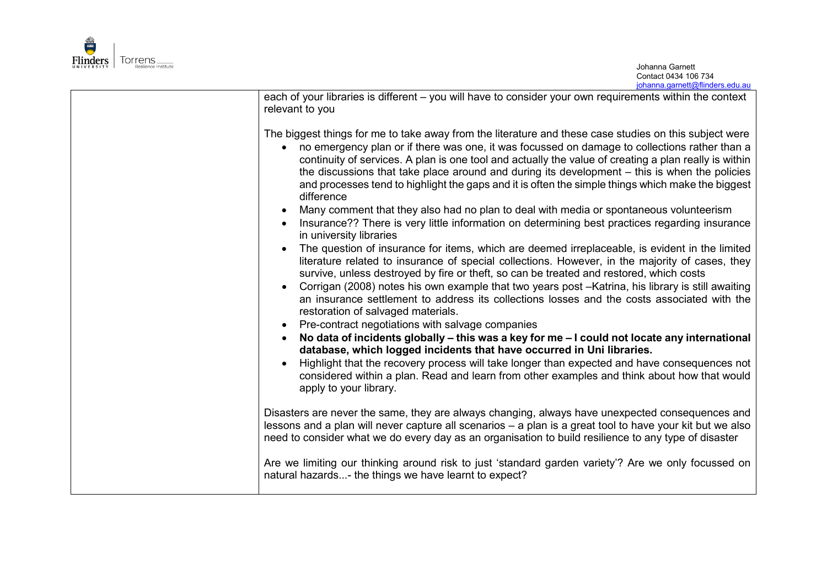

Johanna Garnett Contact 0434 106 734 [johanna.garnett@flinders.edu.au](mailto:johanna.garnett@flinders.edu.au)

| each of your libraries is different – you will have to consider your own requirements within the context<br>relevant to you                                                                                                                                                                                                                                                                                                                                                                                                                                      |
|------------------------------------------------------------------------------------------------------------------------------------------------------------------------------------------------------------------------------------------------------------------------------------------------------------------------------------------------------------------------------------------------------------------------------------------------------------------------------------------------------------------------------------------------------------------|
| The biggest things for me to take away from the literature and these case studies on this subject were<br>no emergency plan or if there was one, it was focussed on damage to collections rather than a<br>continuity of services. A plan is one tool and actually the value of creating a plan really is within<br>the discussions that take place around and during its development – this is when the policies<br>and processes tend to highlight the gaps and it is often the simple things which make the biggest<br>difference                             |
| Many comment that they also had no plan to deal with media or spontaneous volunteerism<br>$\bullet$<br>Insurance?? There is very little information on determining best practices regarding insurance<br>in university libraries                                                                                                                                                                                                                                                                                                                                 |
| The question of insurance for items, which are deemed irreplaceable, is evident in the limited<br>$\bullet$<br>literature related to insurance of special collections. However, in the majority of cases, they<br>survive, unless destroyed by fire or theft, so can be treated and restored, which costs<br>Corrigan (2008) notes his own example that two years post -Katrina, his library is still awaiting<br>$\bullet$<br>an insurance settlement to address its collections losses and the costs associated with the<br>restoration of salvaged materials. |
| Pre-contract negotiations with salvage companies<br>$\bullet$                                                                                                                                                                                                                                                                                                                                                                                                                                                                                                    |
| No data of incidents globally – this was a key for me – I could not locate any international<br>database, which logged incidents that have occurred in Uni libraries.                                                                                                                                                                                                                                                                                                                                                                                            |
| Highlight that the recovery process will take longer than expected and have consequences not<br>considered within a plan. Read and learn from other examples and think about how that would<br>apply to your library.                                                                                                                                                                                                                                                                                                                                            |
| Disasters are never the same, they are always changing, always have unexpected consequences and<br>lessons and a plan will never capture all scenarios – a plan is a great tool to have your kit but we also<br>need to consider what we do every day as an organisation to build resilience to any type of disaster                                                                                                                                                                                                                                             |
| Are we limiting our thinking around risk to just 'standard garden variety'? Are we only focussed on<br>natural hazards- the things we have learnt to expect?                                                                                                                                                                                                                                                                                                                                                                                                     |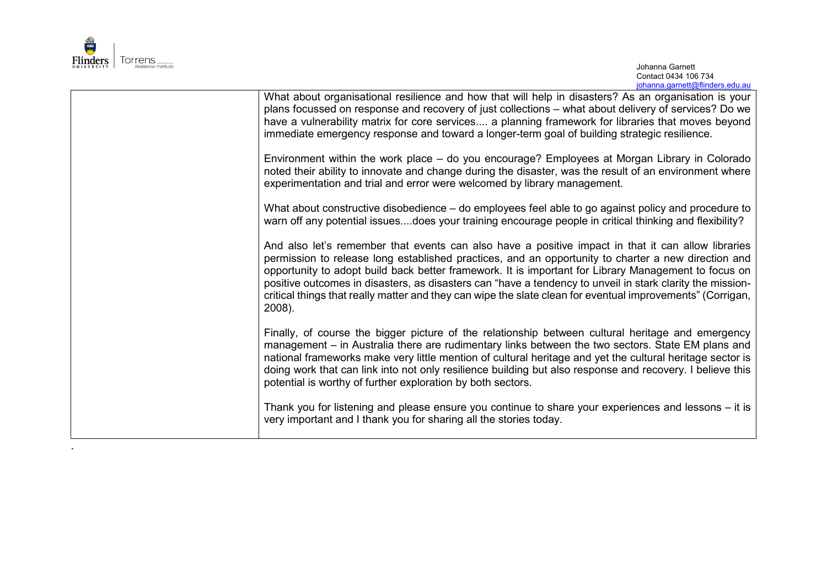

.

| What about organisational resilience and how that will help in disasters? As an organisation is your<br>plans focussed on response and recovery of just collections - what about delivery of services? Do we<br>have a vulnerability matrix for core services a planning framework for libraries that moves beyond<br>immediate emergency response and toward a longer-term goal of building strategic resilience.                                                                                                                                     |
|--------------------------------------------------------------------------------------------------------------------------------------------------------------------------------------------------------------------------------------------------------------------------------------------------------------------------------------------------------------------------------------------------------------------------------------------------------------------------------------------------------------------------------------------------------|
| Environment within the work place – do you encourage? Employees at Morgan Library in Colorado<br>noted their ability to innovate and change during the disaster, was the result of an environment where<br>experimentation and trial and error were welcomed by library management.                                                                                                                                                                                                                                                                    |
| What about constructive disobedience – do employees feel able to go against policy and procedure to<br>warn off any potential issuesdoes your training encourage people in critical thinking and flexibility?                                                                                                                                                                                                                                                                                                                                          |
| And also let's remember that events can also have a positive impact in that it can allow libraries<br>permission to release long established practices, and an opportunity to charter a new direction and<br>opportunity to adopt build back better framework. It is important for Library Management to focus on<br>positive outcomes in disasters, as disasters can "have a tendency to unveil in stark clarity the mission-<br>critical things that really matter and they can wipe the slate clean for eventual improvements" (Corrigan,<br>2008). |
| Finally, of course the bigger picture of the relationship between cultural heritage and emergency<br>management - in Australia there are rudimentary links between the two sectors. State EM plans and<br>national frameworks make very little mention of cultural heritage and yet the cultural heritage sector is<br>doing work that can link into not only resilience building but also response and recovery. I believe this<br>potential is worthy of further exploration by both sectors.                                                        |
| Thank you for listening and please ensure you continue to share your experiences and lessons - it is<br>very important and I thank you for sharing all the stories today.                                                                                                                                                                                                                                                                                                                                                                              |